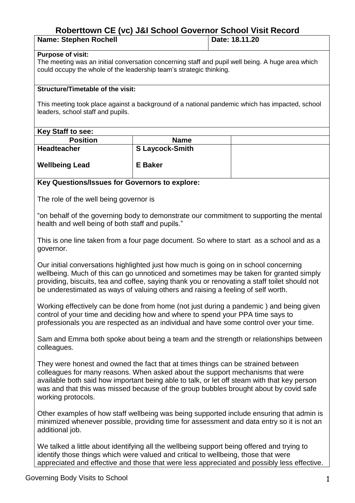# **Roberttown CE (vc) J&I School Governor School Visit Record**

| <b>Name: Stephen Rochell</b> | Date: 18.11.20 |
|------------------------------|----------------|

#### **Purpose of visit:**

The meeting was an initial conversation concerning staff and pupil well being. A huge area which could occupy the whole of the leadership team's strategic thinking.

#### **Structure/Timetable of the visit:**

This meeting took place against a background of a national pandemic which has impacted, school leaders, school staff and pupils.

### **Key Staff to see:**

| ----                  |                        |  |
|-----------------------|------------------------|--|
| <b>Position</b>       | <b>Name</b>            |  |
| <b>Headteacher</b>    | <b>S</b> Laycock-Smith |  |
| <b>Wellbeing Lead</b> | E Baker                |  |

### **Key Questions/Issues for Governors to explore:**

The role of the well being governor is

"on behalf of the governing body to demonstrate our commitment to supporting the mental health and well being of both staff and pupils."

This is one line taken from a four page document. So where to start as a school and as a governor.

Our initial conversations highlighted just how much is going on in school concerning wellbeing. Much of this can go unnoticed and sometimes may be taken for granted simply providing, biscuits, tea and coffee, saying thank you or renovating a staff toilet should not be underestimated as ways of valuing others and raising a feeling of self worth.

Working effectively can be done from home (not just during a pandemic ) and being given control of your time and deciding how and where to spend your PPA time says to professionals you are respected as an individual and have some control over your time.

Sam and Emma both spoke about being a team and the strength or relationships between colleagues.

They were honest and owned the fact that at times things can be strained between colleagues for many reasons. When asked about the support mechanisms that were available both said how important being able to talk, or let off steam with that key person was and that this was missed because of the group bubbles brought about by covid safe working protocols.

Other examples of how staff wellbeing was being supported include ensuring that admin is minimized whenever possible, providing time for assessment and data entry so it is not an additional *job*.

We talked a little about identifying all the wellbeing support being offered and trying to identify those things which were valued and critical to wellbeing, those that were appreciated and effective and those that were less appreciated and possibly less effective.